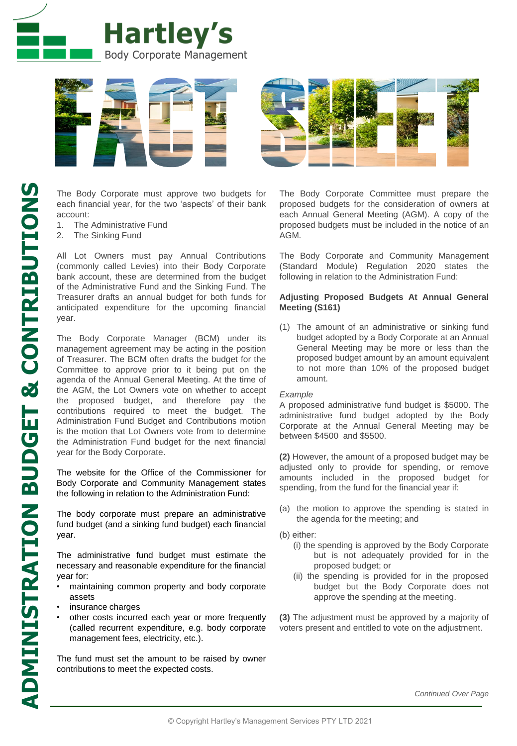



The Body Corporate must approve two budgets for each financial year, for the two 'aspects' of their bank account:

- 1. The Administrative Fund
- 2. The Sinking Fund

All Lot Owners must pay Annual Contributions (commonly called Levies) into their Body Corporate bank account, these are determined from the budget of the Administrative Fund and the Sinking Fund. The Treasurer drafts an annual budget for both funds for anticipated expenditure for the upcoming financial year.

The Body Corporate Manager (BCM) under its management agreement may be acting in the position of Treasurer. The BCM often drafts the budget for the Committee to approve prior to it being put on the agenda of the Annual General Meeting. At the time of the AGM, the Lot Owners vote on whether to accept the proposed budget, and therefore pay the contributions required to meet the budget. The Administration Fund Budget and Contributions motion is the motion that Lot Owners vote from to determine the Administration Fund budget for the next financial year for the Body Corporate.

The website for the Office of the Commissioner for Body Corporate and Community Management states the following in relation to the Administration Fund:

The body corporate must prepare an administrative fund budget (and a sinking fund budget) each financial year.

The administrative fund budget must estimate the necessary and reasonable expenditure for the financial year for:

- maintaining common property and body corporate assets
- insurance charges
- other costs incurred each year or more frequently (called recurrent expenditure, e.g. body corporate management fees, electricity, etc.).

The fund must set the amount to be raised by owner contributions to meet the expected costs.

The Body Corporate Committee must prepare the proposed budgets for the consideration of owners at each Annual General Meeting (AGM). A copy of the proposed budgets must be included in the notice of an AGM.

The Body Corporate and Community Management (Standard Module) Regulation 2020 states the following in relation to the Administration Fund:

## **Adjusting Proposed Budgets At Annual General Meeting (S161)**

(1) The amount of an administrative or sinking fund budget adopted by a Body Corporate at an Annual General Meeting may be more or less than the proposed budget amount by an amount equivalent to not more than 10% of the proposed budget amount.

## *Example*

A proposed administrative fund budget is \$5000. The administrative fund budget adopted by the Body Corporate at the Annual General Meeting may be between \$4500 and \$5500.

**(2)** However, the amount of a proposed budget may be adjusted only to provide for spending, or remove amounts included in the proposed budget for spending, from the fund for the financial year if:

- (a) the motion to approve the spending is stated in the agenda for the meeting; and
- (b) either:
	- (i) the spending is approved by the Body Corporate but is not adequately provided for in the proposed budget; or
	- (ii) the spending is provided for in the proposed budget but the Body Corporate does not approve the spending at the meeting.

**(3)** The adjustment must be approved by a majority of voters present and entitled to vote on the adjustment.